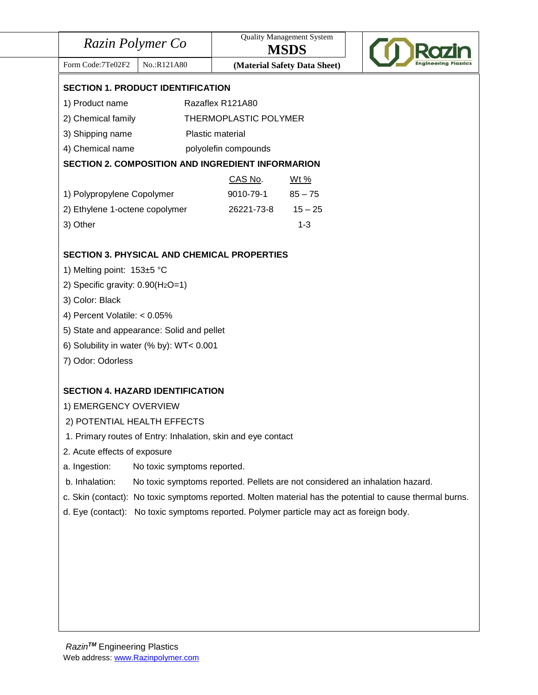| Razin Polymer Co                                                                                         |                                                                              | <b>Quality Management System</b><br><b>MSDS</b> |  |  |  |
|----------------------------------------------------------------------------------------------------------|------------------------------------------------------------------------------|-------------------------------------------------|--|--|--|
| Form Code: 7Te02F2<br>No.:R121A80                                                                        |                                                                              | (Material Safety Data Sheet)                    |  |  |  |
| <b>SECTION 1. PRODUCT IDENTIFICATION</b>                                                                 |                                                                              |                                                 |  |  |  |
| Razaflex R121A80<br>1) Product name                                                                      |                                                                              |                                                 |  |  |  |
| 2) Chemical family                                                                                       | THERMOPLASTIC POLYMER                                                        |                                                 |  |  |  |
| 3) Shipping name                                                                                         | Plastic material                                                             |                                                 |  |  |  |
| 4) Chemical name                                                                                         | polyolefin compounds                                                         |                                                 |  |  |  |
| <b>SECTION 2. COMPOSITION AND INGREDIENT INFORMARION</b>                                                 |                                                                              |                                                 |  |  |  |
|                                                                                                          | CAS No.                                                                      | <u>Wt %</u>                                     |  |  |  |
| 1) Polypropylene Copolymer                                                                               | 9010-79-1                                                                    | $85 - 75$                                       |  |  |  |
| 2) Ethylene 1-octene copolymer                                                                           | 26221-73-8                                                                   | $15 - 25$                                       |  |  |  |
| 3) Other                                                                                                 |                                                                              | $1 - 3$                                         |  |  |  |
|                                                                                                          |                                                                              |                                                 |  |  |  |
| <b>SECTION 3. PHYSICAL AND CHEMICAL PROPERTIES</b>                                                       |                                                                              |                                                 |  |  |  |
| 1) Melting point: 153±5 °C                                                                               |                                                                              |                                                 |  |  |  |
| 2) Specific gravity: $0.90(H2O=1)$                                                                       |                                                                              |                                                 |  |  |  |
| 3) Color: Black                                                                                          |                                                                              |                                                 |  |  |  |
| 4) Percent Volatile: < 0.05%                                                                             |                                                                              |                                                 |  |  |  |
| 5) State and appearance: Solid and pellet                                                                |                                                                              |                                                 |  |  |  |
| 6) Solubility in water (% by): WT< 0.001                                                                 |                                                                              |                                                 |  |  |  |
| 7) Odor: Odorless                                                                                        |                                                                              |                                                 |  |  |  |
| <b>SECTION 4. HAZARD IDENTIFICATION</b>                                                                  |                                                                              |                                                 |  |  |  |
| 1) EMERGENCY OVERVIEW                                                                                    |                                                                              |                                                 |  |  |  |
| 2) POTENTIAL HEALTH EFFECTS                                                                              |                                                                              |                                                 |  |  |  |
| 1. Primary routes of Entry: Inhalation, skin and eye contact                                             |                                                                              |                                                 |  |  |  |
| 2. Acute effects of exposure                                                                             |                                                                              |                                                 |  |  |  |
| a. Ingestion:<br>No toxic symptoms reported.                                                             |                                                                              |                                                 |  |  |  |
| b. Inhalation:                                                                                           | No toxic symptoms reported. Pellets are not considered an inhalation hazard. |                                                 |  |  |  |
|                                                                                                          |                                                                              |                                                 |  |  |  |
| c. Skin (contact): No toxic symptoms reported. Molten material has the potential to cause thermal burns. |                                                                              |                                                 |  |  |  |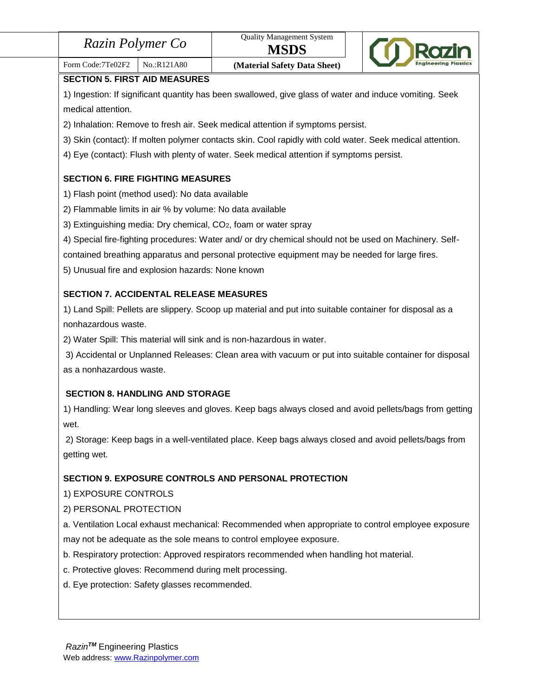|  | Razin Polymer Co |  |
|--|------------------|--|
|--|------------------|--|



#### Form Code:7Te02F2 | No.:R121A80 **(Material Safety Data Sheet) SECTION 5. FIRST AID MEASURES**

1) Ingestion: If significant quantity has been swallowed, give glass of water and induce vomiting. Seek medical attention.

2) Inhalation: Remove to fresh air. Seek medical attention if symptoms persist.

3) Skin (contact): If molten polymer contacts skin. Cool rapidly with cold water. Seek medical attention.

4) Eye (contact): Flush with plenty of water. Seek medical attention if symptoms persist.

# **SECTION 6. FIRE FIGHTING MEASURES**

- 1) Flash point (method used): No data available
- 2) Flammable limits in air % by volume: No data available
- 3) Extinguishing media: Dry chemical, CO2, foam or water spray
- 4) Special fire-fighting procedures: Water and/ or dry chemical should not be used on Machinery. Self-

contained breathing apparatus and personal protective equipment may be needed for large fires.

5) Unusual fire and explosion hazards: None known

## **SECTION 7. ACCIDENTAL RELEASE MEASURES**

1) Land Spill: Pellets are slippery. Scoop up material and put into suitable container for disposal as a nonhazardous waste.

2) Water Spill: This material will sink and is non-hazardous in water.

3) Accidental or Unplanned Releases: Clean area with vacuum or put into suitable container for disposal as a nonhazardous waste.

# **SECTION 8. HANDLING AND STORAGE**

1) Handling: Wear long sleeves and gloves. Keep bags always closed and avoid pellets/bags from getting wet.

2) Storage: Keep bags in a well-ventilated place. Keep bags always closed and avoid pellets/bags from getting wet.

# **SECTION 9. EXPOSURE CONTROLS AND PERSONAL PROTECTION**

1) EXPOSURE CONTROLS

# 2) PERSONAL PROTECTION

a. Ventilation Local exhaust mechanical: Recommended when appropriate to control employee exposure may not be adequate as the sole means to control employee exposure.

- b. Respiratory protection: Approved respirators recommended when handling hot material.
- c. Protective gloves: Recommend during melt processing.
- d. Eye protection: Safety glasses recommended.